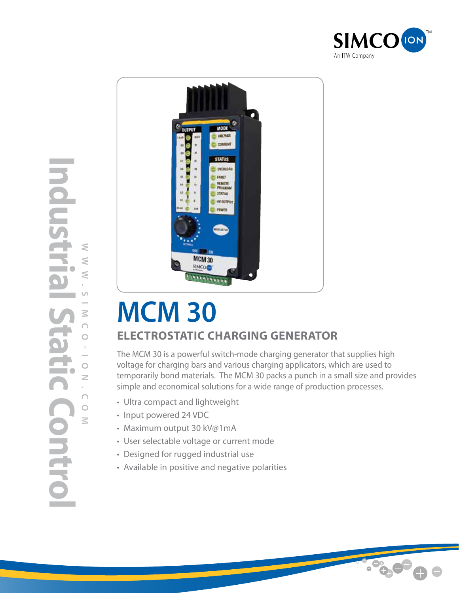



## **MCM 30 Electrostatic Charging Generator**

The MCM 30 is a powerful switch-mode charging generator that supplies high voltage for charging bars and various charging applicators, which are used to temporarily bond materials. The MCM 30 packs a punch in a small size and provides simple and economical solutions for a wide range of production processes.

- Ultra compact and lightweight
- Input powered 24 VDC
- Maximum output 30 kV@1mA
- User selectable voltage or current mode
- Designed for rugged industrial use
- Available in positive and negative polarities